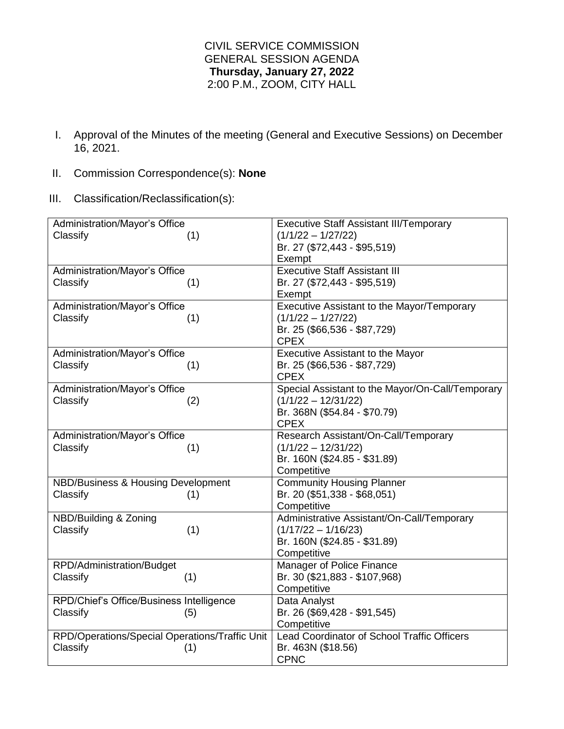## CIVIL SERVICE COMMISSION GENERAL SESSION AGENDA **Thursday, January 27, 2022** 2:00 P.M., ZOOM, CITY HALL

- I. Approval of the Minutes of the meeting (General and Executive Sessions) on December 16, 2021.
- II. Commission Correspondence(s): **None**
- III. Classification/Reclassification(s):

| Administration/Mayor's Office                  | <b>Executive Staff Assistant III/Temporary</b>     |
|------------------------------------------------|----------------------------------------------------|
| Classify<br>(1)                                | $(1/1/22 - 1/27/22)$                               |
|                                                | Br. 27 (\$72,443 - \$95,519)                       |
|                                                | Exempt                                             |
| Administration/Mayor's Office                  | <b>Executive Staff Assistant III</b>               |
| Classify<br>(1)                                | Br. 27 (\$72,443 - \$95,519)                       |
|                                                | Exempt                                             |
| Administration/Mayor's Office                  | Executive Assistant to the Mayor/Temporary         |
| Classify<br>(1)                                | $(1/1/22 - 1/27/22)$                               |
|                                                | Br. 25 (\$66,536 - \$87,729)                       |
|                                                | <b>CPEX</b>                                        |
| Administration/Mayor's Office                  | <b>Executive Assistant to the Mayor</b>            |
| Classify<br>(1)                                | Br. 25 (\$66,536 - \$87,729)                       |
|                                                | <b>CPEX</b>                                        |
| Administration/Mayor's Office                  | Special Assistant to the Mayor/On-Call/Temporary   |
| Classify<br>(2)                                | $(1/1/22 - 12/31/22)$                              |
|                                                | Br. 368N (\$54.84 - \$70.79)                       |
|                                                | <b>CPEX</b>                                        |
| Administration/Mayor's Office                  | Research Assistant/On-Call/Temporary               |
| Classify<br>(1)                                | $(1/1/22 - 12/31/22)$                              |
|                                                | Br. 160N (\$24.85 - \$31.89)                       |
|                                                | Competitive                                        |
| NBD/Business & Housing Development             | <b>Community Housing Planner</b>                   |
| Classify<br>(1)                                | Br. 20 (\$51,338 - \$68,051)                       |
|                                                | Competitive                                        |
| NBD/Building & Zoning                          | Administrative Assistant/On-Call/Temporary         |
| Classify<br>(1)                                | $(1/17/22 - 1/16/23)$                              |
|                                                | Br. 160N (\$24.85 - \$31.89)                       |
|                                                | Competitive                                        |
| RPD/Administration/Budget                      | Manager of Police Finance                          |
| Classify<br>(1)                                | Br. 30 (\$21,883 - \$107,968)                      |
|                                                | Competitive                                        |
| RPD/Chief's Office/Business Intelligence       | Data Analyst                                       |
| Classify<br>(5)                                | Br. 26 (\$69,428 - \$91,545)                       |
|                                                | Competitive                                        |
| RPD/Operations/Special Operations/Traffic Unit | <b>Lead Coordinator of School Traffic Officers</b> |
| Classify<br>(1)                                | Br. 463N (\$18.56)                                 |
|                                                | <b>CPNC</b>                                        |